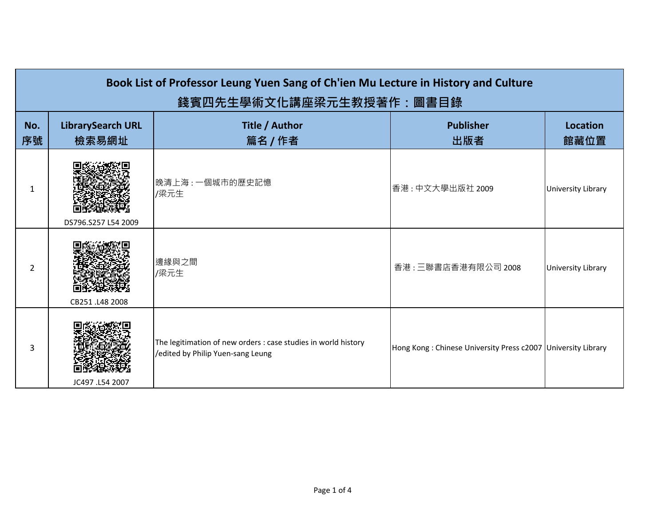| Book List of Professor Leung Yuen Sang of Ch'ien Mu Lecture in History and Culture<br>錢賓四先生學術文化講座梁元生教授著作:圖書目錄 |                                   |                                                                                                     |                                                              |                           |
|---------------------------------------------------------------------------------------------------------------|-----------------------------------|-----------------------------------------------------------------------------------------------------|--------------------------------------------------------------|---------------------------|
| No.<br>序號                                                                                                     | <b>LibrarySearch URL</b><br>檢索易網址 | Title / Author<br>篇名 / 作者                                                                           | <b>Publisher</b><br>出版者                                      | <b>Location</b><br>館藏位置   |
| 1                                                                                                             | DS796.S257 L54 2009               | 晚清上海:一個城市的歷史記憶<br>/梁元生                                                                              | 香港:中文大學出版社 2009                                              | <b>University Library</b> |
| 2                                                                                                             | CB251.L48 2008                    | 邊緣與之間<br>/梁元生                                                                                       | 香港:三聯書店香港有限公司 2008                                           | University Library        |
| 3                                                                                                             | JC497 .L54 2007                   | The legitimation of new orders : case studies in world history<br>/edited by Philip Yuen-sang Leung | Hong Kong: Chinese University Press c2007 University Library |                           |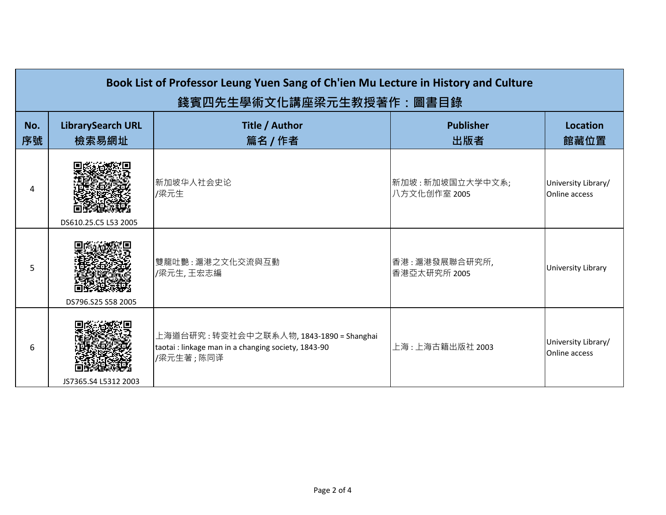| Book List of Professor Leung Yuen Sang of Ch'ien Mu Lecture in History and Culture<br>錢賓四先生學術文化講座梁元生教授著作:圖書目錄 |                                   |                                                                                                               |                                 |                                             |
|---------------------------------------------------------------------------------------------------------------|-----------------------------------|---------------------------------------------------------------------------------------------------------------|---------------------------------|---------------------------------------------|
| No.<br>序號                                                                                                     | <b>LibrarySearch URL</b><br>檢索易網址 | Title / Author<br>篇名 / 作者                                                                                     | <b>Publisher</b><br>出版者         | <b>Location</b><br>館藏位置                     |
| Δ                                                                                                             | DS610.25.C5 L53 2005              | 新加坡华人社会史论<br>/梁元生                                                                                             | 新加坡:新加坡国立大学中文系;<br>八方文化创作室 2005 | University Library/<br>Online access        |
| 5                                                                                                             | DS796.S25 S58 2005                | 雙龍吐艷:滬港之文化交流與互動<br>/梁元生,王宏志編                                                                                  | 香港:滬港發展聯合研究所,<br>香港亞太研究所 2005   | University Library                          |
| 6                                                                                                             | JS7365.S4 L5312 2003              | 上海道台研究 : 转变社会中之联系人物, 1843-1890 = Shanghai<br>taotai : linkage man in a changing society, 1843-90<br>/梁元生著;陈同译 | 上海:上海古籍出版社 2003                 | University Library/<br><b>Online access</b> |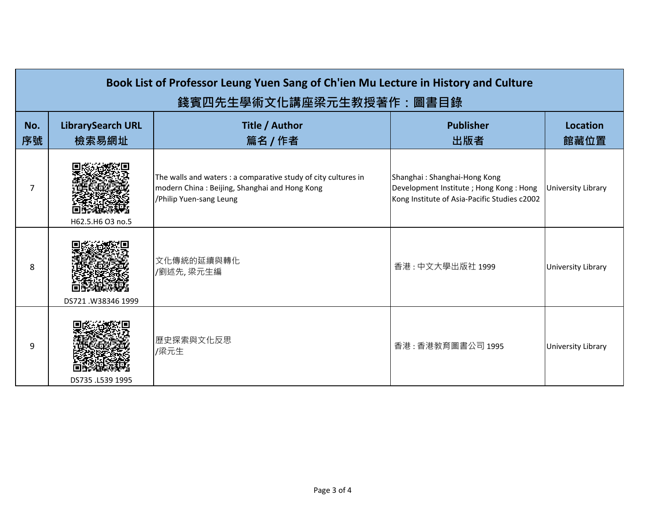| Book List of Professor Leung Yuen Sang of Ch'ien Mu Lecture in History and Culture<br>錢賓四先生學術文化講座梁元生教授著作:圖書目錄 |                                   |                                                                                                                                            |                                                                                                                          |                           |
|---------------------------------------------------------------------------------------------------------------|-----------------------------------|--------------------------------------------------------------------------------------------------------------------------------------------|--------------------------------------------------------------------------------------------------------------------------|---------------------------|
| No.<br>序號                                                                                                     | <b>LibrarySearch URL</b><br>檢索易網址 | Title / Author<br>篇名 / 作者                                                                                                                  | <b>Publisher</b><br>出版者                                                                                                  | <b>Location</b><br>館藏位置   |
| 7                                                                                                             | H62.5.H6 O3 no.5                  | The walls and waters : a comparative study of city cultures in<br>modern China: Beijing, Shanghai and Hong Kong<br>/Philip Yuen-sang Leung | Shanghai: Shanghai-Hong Kong<br>Development Institute ; Hong Kong : Hong<br>Kong Institute of Asia-Pacific Studies c2002 | University Library        |
| 8                                                                                                             | DS721.W38346 1999                 | 文化傳統的延續與轉化<br>/劉述先,梁元生編                                                                                                                    | 香港:中文大學出版社 1999                                                                                                          | University Library        |
| 9                                                                                                             | DS735 .L539 1995                  | 歷史探索與文化反思<br>/梁元生                                                                                                                          | 香港:香港教育圖書公司 1995                                                                                                         | <b>University Library</b> |